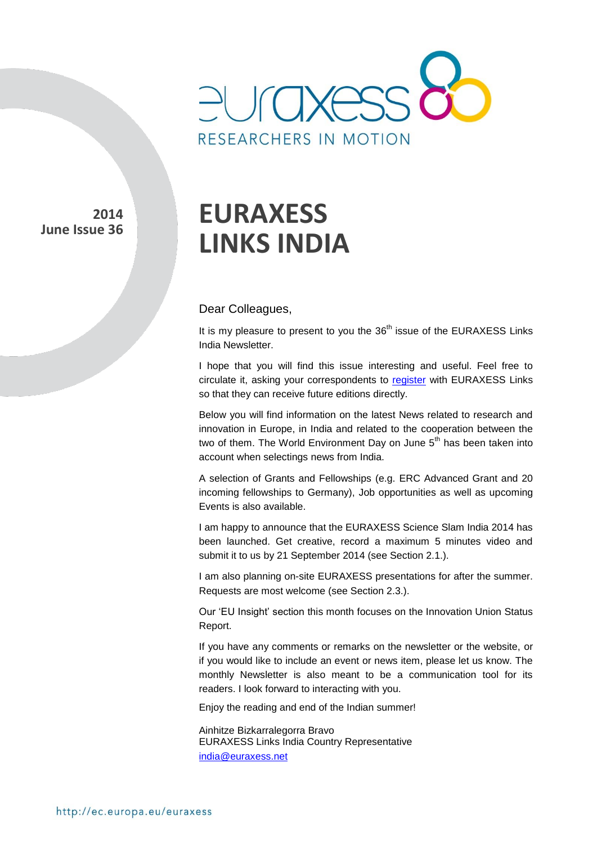

**2014 June Issue 36** 

# **EURAXESS LINKS INDIA**

#### Dear Colleagues,

It is my pleasure to present to you the  $36<sup>th</sup>$  issue of the EURAXESS Links India Newsletter.

I hope that you will find this issue interesting and useful. Feel free to circulate it, asking your correspondents to [register](http://europa.eu/sinapse/directaccess/euraxess-links-india/join) with EURAXESS Links so that they can receive future editions directly.

Below you will find information on the latest News related to research and innovation in Europe, in India and related to the cooperation between the two of them. The World Environment Day on June  $5<sup>th</sup>$  has been taken into account when selectings news from India.

A selection of Grants and Fellowships (e.g. ERC Advanced Grant and 20 incoming fellowships to Germany), Job opportunities as well as upcoming Events is also available.

I am happy to announce that the EURAXESS Science Slam India 2014 has been launched. Get creative, record a maximum 5 minutes video and submit it to us by 21 September 2014 (see Section 2.1.).

I am also planning on-site EURAXESS presentations for after the summer. Requests are most welcome (see Section 2.3.).

Our 'EU Insight' section this month focuses on the Innovation Union Status Report.

If you have any comments or remarks on the newsletter or the website, or if you would like to include an event or news item, please let us know. The monthly Newsletter is also meant to be a communication tool for its readers. I look forward to interacting with you.

Enjoy the reading and end of the Indian summer!

Ainhitze Bizkarralegorra Bravo EURAXESS Links India Country Representative [india@euraxess.net](mailto:aurelie.pachkoff@euraxess.net)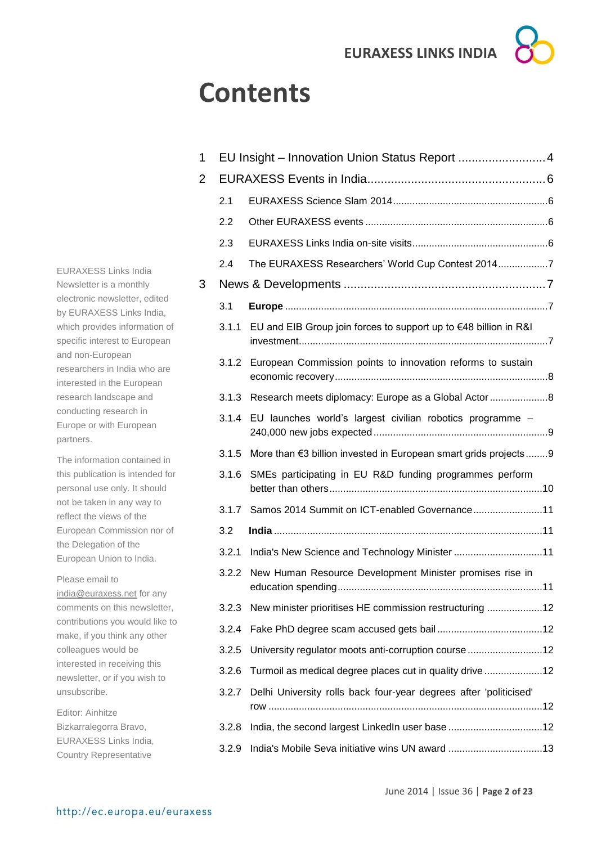# **Contents**

| 1 |       | EU Insight - Innovation Union Status Report  4                    |  |  |
|---|-------|-------------------------------------------------------------------|--|--|
| 2 |       |                                                                   |  |  |
|   | 2.1   |                                                                   |  |  |
|   | 2.2   |                                                                   |  |  |
|   | 2.3   |                                                                   |  |  |
|   | 2.4   | The EURAXESS Researchers' World Cup Contest 20147                 |  |  |
| 3 |       |                                                                   |  |  |
|   | 3.1   |                                                                   |  |  |
|   | 3.1.1 | EU and EIB Group join forces to support up to €48 billion in R&I  |  |  |
|   |       | 3.1.2 European Commission points to innovation reforms to sustain |  |  |
|   |       | 3.1.3 Research meets diplomacy: Europe as a Global Actor 8        |  |  |
|   | 3.1.4 | EU launches world's largest civilian robotics programme -         |  |  |
|   | 3.1.5 | More than €3 billion invested in European smart grids projects 9  |  |  |
|   | 3.1.6 | SMEs participating in EU R&D funding programmes perform           |  |  |
|   | 3.1.7 | Samos 2014 Summit on ICT-enabled Governance11                     |  |  |
|   | 3.2   |                                                                   |  |  |
|   | 3.2.1 | India's New Science and Technology Minister 11                    |  |  |
|   | 3.2.2 | New Human Resource Development Minister promises rise in          |  |  |
|   | 3.2.3 | New minister prioritises HE commission restructuring 12           |  |  |
|   | 3.2.4 |                                                                   |  |  |
|   | 3.2.5 | University regulator moots anti-corruption course 12              |  |  |
|   | 3.2.6 | Turmoil as medical degree places cut in quality drive 12          |  |  |
|   | 3.2.7 | Delhi University rolls back four-year degrees after 'politicised' |  |  |
|   | 3.2.8 | India, the second largest LinkedIn user base 12                   |  |  |
|   | 3.2.9 | India's Mobile Seva initiative wins UN award 13                   |  |  |
|   |       |                                                                   |  |  |

EURAXESS Links India Newsletter is a monthly electronic newsletter, edited by EURAXESS Links India, which provides information of specific interest to European and non-European researchers in India who are interested in the European research landscape and conducting research in Europe or with European partners.

The information contained in this publication is intended for personal use only. It should not be taken in any way to reflect the views of the European Commission nor of the Delegation of the European Union to India.

Please email to [india@euraxess.net](mailto:india@euraxess.net) for any comments on this newsletter, contributions you would like to make, if you think any other colleagues would be interested in receiving this newsletter, or if you wish to unsubscribe.

Editor: Ainhitze Bizkarralegorra Bravo, EURAXESS Links India, Country Representative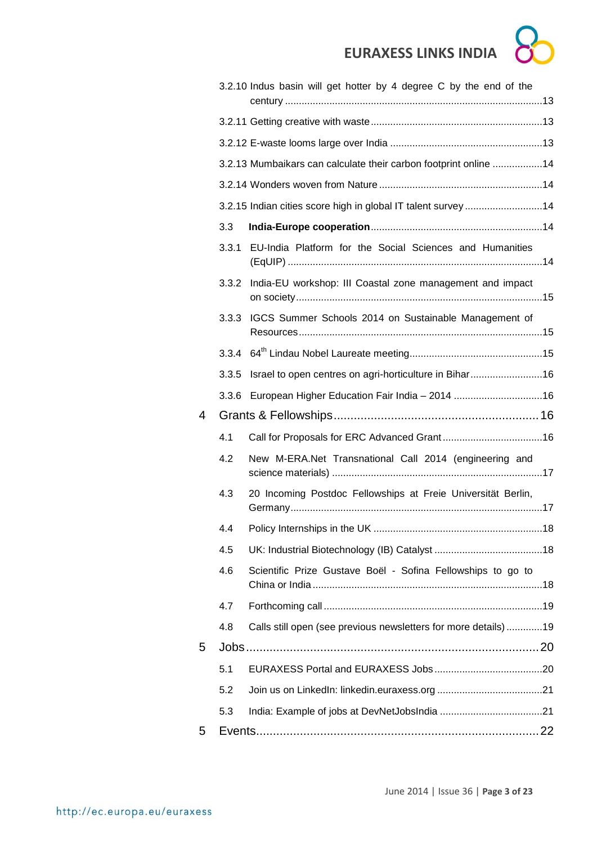|   |       | 3.2.10 Indus basin will get hotter by 4 degree C by the end of the |
|---|-------|--------------------------------------------------------------------|
|   |       |                                                                    |
|   |       |                                                                    |
|   |       | 3.2.13 Mumbaikars can calculate their carbon footprint online 14   |
|   |       |                                                                    |
|   |       | 3.2.15 Indian cities score high in global IT talent survey 14      |
|   | 3.3   |                                                                    |
|   | 3.3.1 | EU-India Platform for the Social Sciences and Humanities           |
|   | 3.3.2 | India-EU workshop: III Coastal zone management and impact          |
|   | 3.3.3 | IGCS Summer Schools 2014 on Sustainable Management of              |
|   |       |                                                                    |
|   | 3.3.5 | Israel to open centres on agri-horticulture in Bihar16             |
|   | 3.3.6 |                                                                    |
| 4 |       |                                                                    |
|   | 4.1   |                                                                    |
|   | 4.2   | New M-ERA.Net Transnational Call 2014 (engineering and             |
|   | 4.3   | 20 Incoming Postdoc Fellowships at Freie Universität Berlin,       |
|   | 4.4   |                                                                    |
|   | 4.5   |                                                                    |
|   | 4.6   | Scientific Prize Gustave Boël - Sofina Fellowships to go to        |
|   | 4.7   |                                                                    |
|   | 4.8   | Calls still open (see previous newsletters for more details)19     |
| 5 |       |                                                                    |
|   | 5.1   |                                                                    |
|   | 5.2   |                                                                    |
|   | 5.3   |                                                                    |
| 5 |       |                                                                    |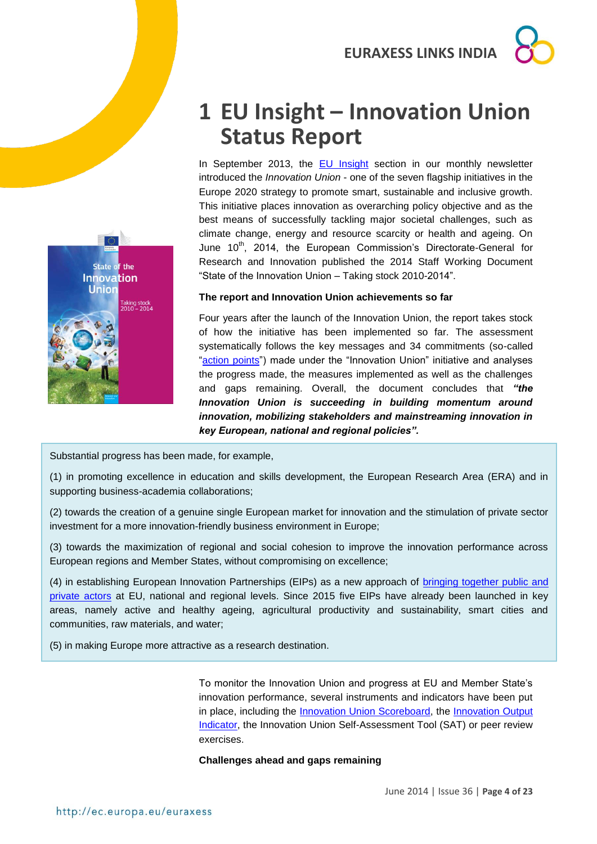



## <span id="page-3-0"></span>**1 EU Insight – Innovation Union Status Report**

In September 2013, the [EU Insight](http://ec.europa.eu/euraxess/data/links/brazil/docs/EU%20Insight%20-%20The%20Innovation%20Union.pdf) section in our monthly newsletter introduced the *Innovation Union* - one of the seven flagship initiatives in the Europe 2020 strategy to promote smart, sustainable and inclusive growth. This initiative places innovation as overarching policy objective and as the best means of successfully tackling major societal challenges, such as climate change, energy and resource scarcity or health and ageing. On June 10<sup>th</sup>, 2014, the European Commission's Directorate-General for Research and Innovation published the 2014 Staff Working Document "State of the Innovation Union – Taking stock 2010-2014".

#### **The report and Innovation Union achievements so far**

Four years after the launch of the Innovation Union, the report takes stock of how the initiative has been implemented so far. The assessment systematically follows the key messages and 34 commitments (so-called ["action points"](http://ec.europa.eu/research/innovation-union/index_en.cfm?pg=action-points&view=all#action1)) made under the "Innovation Union" initiative and analyses the progress made, the measures implemented as well as the challenges and gaps remaining. Overall, the document concludes that *"the Innovation Union is succeeding in building momentum around innovation, mobilizing stakeholders and mainstreaming innovation in key European, national and regional policies".*

Substantial progress has been made, for example,

(1) in promoting excellence in education and skills development, the European Research Area (ERA) and in supporting business-academia collaborations;

(2) towards the creation of a genuine single European market for innovation and the stimulation of private sector investment for a more innovation-friendly business environment in Europe;

(3) towards the maximization of regional and social cohesion to improve the innovation performance across European regions and Member States, without compromising on excellence;

(4) in establishing European Innovation Partnerships (EIPs) as a new approach of [bringing together public and](http://ec.europa.eu/research/innovation-union/index_en.cfm?pg=eip)  [private actors](http://ec.europa.eu/research/innovation-union/index_en.cfm?pg=eip) at EU, national and regional levels. Since 2015 five EIPs have already been launched in key areas, namely active and healthy ageing, agricultural productivity and sustainability, smart cities and communities, raw materials, and water;

(5) in making Europe more attractive as a research destination.

To monitor the Innovation Union and progress at EU and Member State's innovation performance, several instruments and indicators have been put in place, including the [Innovation Union Scoreboard,](http://ec.europa.eu/enterprise/policies/innovation/policy/innovation-scoreboard/index_en.htm) the [Innovation Output](http://ec.europa.eu/research/innovation-union/index_en.cfm?pg=output)  [Indicator,](http://ec.europa.eu/research/innovation-union/index_en.cfm?pg=output) the Innovation Union Self-Assessment Tool (SAT) or peer review exercises.

#### **Challenges ahead and gaps remaining**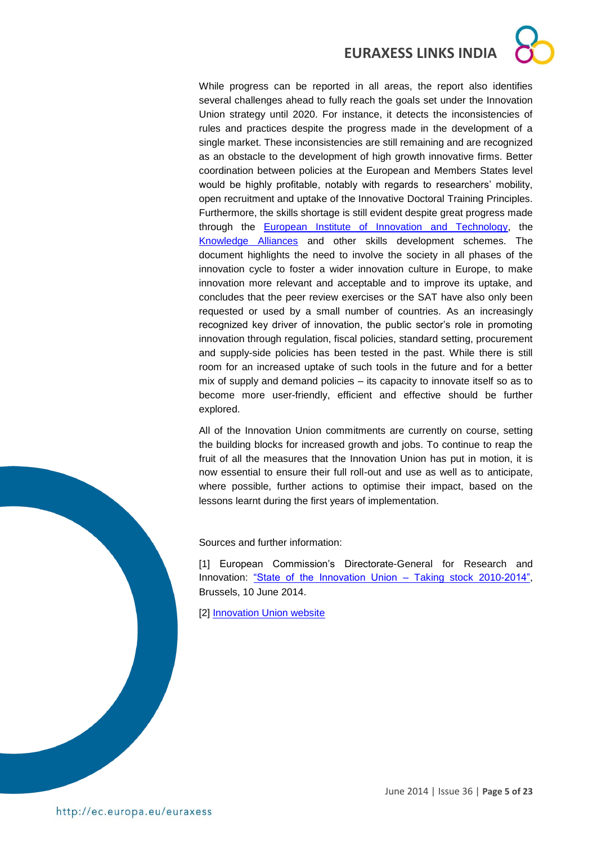While progress can be reported in all areas, the report also identifies several challenges ahead to fully reach the goals set under the Innovation Union strategy until 2020. For instance, it detects the inconsistencies of rules and practices despite the progress made in the development of a single market. These inconsistencies are still remaining and are recognized as an obstacle to the development of high growth innovative firms. Better coordination between policies at the European and Members States level would be highly profitable, notably with regards to researchers' mobility, open recruitment and uptake of the Innovative Doctoral Training Principles. Furthermore, the skills shortage is still evident despite great progress made through the [European Institute of Innovation and Technology,](http://eit.europa.eu/) the [Knowledge Alliances](https://eacea.ec.europa.eu/erasmus-plus/actions/key-action-2-cooperation-for-innovation-and-exchange-good-practices/knowledge-alliances_en) and other skills development schemes. The document highlights the need to involve the society in all phases of the innovation cycle to foster a wider innovation culture in Europe, to make innovation more relevant and acceptable and to improve its uptake, and concludes that the peer review exercises or the SAT have also only been requested or used by a small number of countries. As an increasingly recognized key driver of innovation, the public sector's role in promoting innovation through regulation, fiscal policies, standard setting, procurement and supply-side policies has been tested in the past. While there is still room for an increased uptake of such tools in the future and for a better mix of supply and demand policies – its capacity to innovate itself so as to become more user-friendly, efficient and effective should be further explored.

All of the Innovation Union commitments are currently on course, setting the building blocks for increased growth and jobs. To continue to reap the fruit of all the measures that the Innovation Union has put in motion, it is now essential to ensure their full roll-out and use as well as to anticipate, where possible, further actions to optimise their impact, based on the lessons learnt during the first years of implementation.

Sources and further information:

[1] European Commission's Directorate-General for Research and Innovation: ["State of the Innovation Union –](file:///C:/Users/Ainhitze/Downloads/,%20http:/ec.europa.eu/research/science-society/document_library/pdf_06/siu_design_11-web.pdf) Taking stock 2010-2014", Brussels, 10 June 2014.

**[2] [Innovation Union website](http://ec.europa.eu/research/innovation-union/index_en.cfm)** 

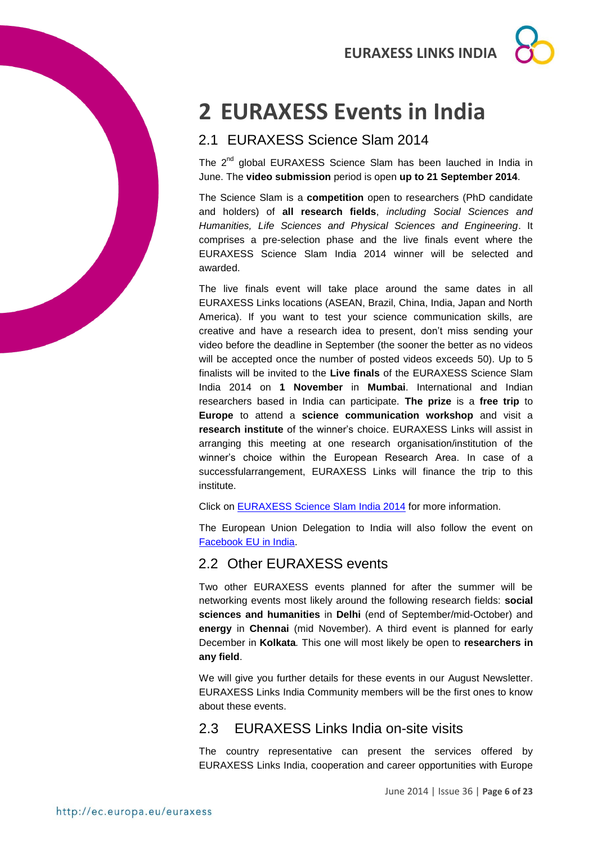# <span id="page-5-0"></span>**2 EURAXESS Events in India**

## <span id="page-5-1"></span>2.1 EURAXESS Science Slam 2014

The 2<sup>nd</sup> global EURAXESS Science Slam has been lauched in India in June. The **video submission** period is open **up to 21 September 2014**.

The Science Slam is a **competition** open to researchers (PhD candidate and holders) of **all research fields**, *including Social Sciences and Humanities, Life Sciences and Physical Sciences and Engineering*. It comprises a pre-selection phase and the live finals event where the EURAXESS Science Slam India 2014 winner will be selected and awarded.

The live finals event will take place around the same dates in all EURAXESS Links locations (ASEAN, Brazil, China, India, Japan and North America). If you want to test your science communication skills, are creative and have a research idea to present, don't miss sending your video before the deadline in September (the sooner the better as no videos will be accepted once the number of posted videos exceeds 50). Up to 5 finalists will be invited to the **Live finals** of the EURAXESS Science Slam India 2014 on **1 November** in **Mumbai**. International and Indian researchers based in India can participate. **The prize** is a **free trip** to **Europe** to attend a **science communication workshop** and visit a **research institute** of the winner's choice. EURAXESS Links will assist in arranging this meeting at one research organisation/institution of the winner's choice within the European Research Area. In case of a successfularrangement, EURAXESS Links will finance the trip to this institute.

Click on [EURAXESS Science Slam India 2014](http://ec.europa.eu/euraxess/index.cfm/links/events/india/science_slam) for more information.

The European Union Delegation to India will also follow the event on Facebook [EU in India.](https://www.facebook.com/EUinIndia)

## <span id="page-5-2"></span>2.2 Other EURAXESS events

Two other EURAXESS events planned for after the summer will be networking events most likely around the following research fields: **social sciences and humanities** in **Delhi** (end of September/mid-October) and **energy** in **Chennai** (mid November). A third event is planned for early December in **Kolkata***.* This one will most likely be open to **researchers in any field**.

We will give you further details for these events in our August Newsletter. EURAXESS Links India Community members will be the first ones to know about these events.

## <span id="page-5-3"></span>2.3 EURAXESS Links India on-site visits

The country representative can present the services offered by EURAXESS Links India, cooperation and career opportunities with Europe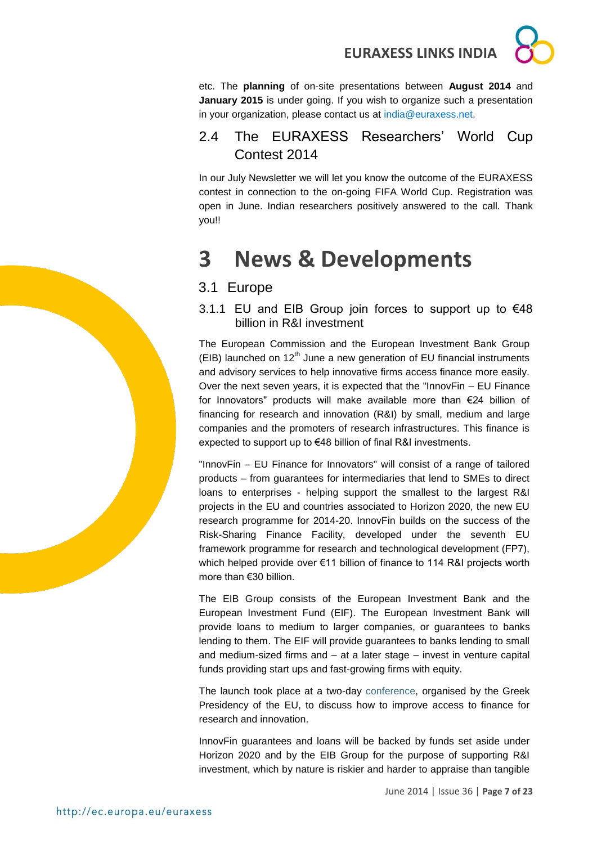

## <span id="page-6-0"></span>2.4 The EURAXESS Researchers' World Cup Contest 2014

In our July Newsletter we will let you know the outcome of the EURAXESS contest in connection to the on-going FIFA World Cup. Registration was open in June. Indian researchers positively answered to the call. Thank you!!

## <span id="page-6-1"></span>**3 News & Developments**

## <span id="page-6-2"></span>3.1 Europe

<span id="page-6-3"></span>3.1.1 EU and EIB Group join forces to support up to €48 billion in R&I investment

The European Commission and the European Investment Bank Group (EIB) launched on  $12<sup>th</sup>$  June a new generation of EU financial instruments and advisory services to help innovative firms access finance more easily. Over the next seven years, it is expected that the "InnovFin – EU Finance for Innovators" products will make available more than €24 billion of financing for research and innovation (R&I) by small, medium and large companies and the promoters of research infrastructures. This finance is expected to support up to €48 billion of final R&I investments.

"InnovFin – EU Finance for Innovators" will consist of a range of tailored products – from guarantees for intermediaries that lend to SMEs to direct loans to enterprises - helping support the smallest to the largest R&I projects in the EU and countries associated to Horizon 2020, the new EU research programme for 2014-20. InnovFin builds on the success of the Risk-Sharing Finance Facility, developed under the seventh EU framework programme for research and technological development (FP7), which helped provide over €11 billion of finance to 114 R&I projects worth more than €30 billion.

The EIB Group consists of the European Investment Bank and the European Investment Fund (EIF). The European Investment Bank will provide loans to medium to larger companies, or guarantees to banks lending to them. The EIF will provide guarantees to banks lending to small and medium-sized firms and – at a later stage – invest in venture capital funds providing start ups and fast-growing firms with equity.

The launch took place at a two-day [conference,](http://www.access2riskfinance.eu/) organised by the Greek Presidency of the EU, to discuss how to improve access to finance for research and innovation.

InnovFin guarantees and loans will be backed by funds set aside under Horizon 2020 and by the EIB Group for the purpose of supporting R&I investment, which by nature is riskier and harder to appraise than tangible

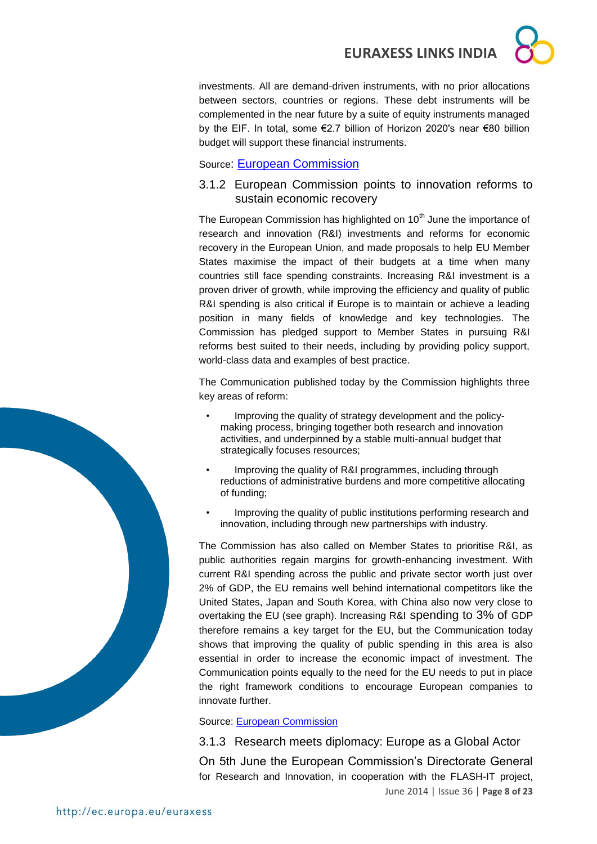investments. All are demand-driven instruments, with no prior allocations between sectors, countries or regions. These debt instruments will be complemented in the near future by a suite of equity instruments managed by the EIF. In total, some €2.7 billion of Horizon 2020's near €80 billion budget will support these financial instruments.

Source: [European Commission](http://europa.eu/rapid/press-release_IP-14-670_en.htm?locale=en)

## <span id="page-7-0"></span>3.1.2 European Commission points to innovation reforms to sustain economic recovery

The European Commission has highlighted on 10<sup>th</sup> June the importance of research and innovation (R&I) investments and reforms for economic recovery in the European Union, and made proposals to help EU Member States maximise the impact of their budgets at a time when many countries still face spending constraints. Increasing R&I investment is a proven driver of growth, while improving the efficiency and quality of public R&I spending is also critical if Europe is to maintain or achieve a leading position in many fields of knowledge and key technologies. The Commission has pledged support to Member States in pursuing R&I reforms best suited to their needs, including by providing policy support, world-class data and examples of best practice.

The Communication published today by the Commission highlights three key areas of reform:

- Improving the quality of strategy development and the policymaking process, bringing together both research and innovation activities, and underpinned by a stable multi-annual budget that strategically focuses resources;
- Improving the quality of R&I programmes, including through reductions of administrative burdens and more competitive allocating of funding;
- Improving the quality of public institutions performing research and innovation, including through new partnerships with industry.

The Commission has also called on Member States to prioritise R&I, as public authorities regain margins for growth-enhancing investment. With current R&I spending across the public and private sector worth just over 2% of GDP, the EU remains well behind international competitors like the United States, Japan and South Korea, with China also now very close to overtaking the EU (see graph). Increasing R&I spending to 3% of GDP therefore remains a key target for the EU, but the Communication today shows that improving the quality of public spending in this area is also essential in order to increase the economic impact of investment. The Communication points equally to the need for the EU needs to put in place the right framework conditions to encourage European companies to innovate further.

Source: [European Commission](http://europa.eu/rapid/press-release_IP-14-646_en.htm?locale=en)

<span id="page-7-1"></span>3.1.3 Research meets diplomacy: Europe as a Global Actor

June 2014 | Issue 36 | **Page 8 of 23** On 5th June the European Commission's Directorate General for Research and Innovation, in cooperation with the FLASH-IT project,

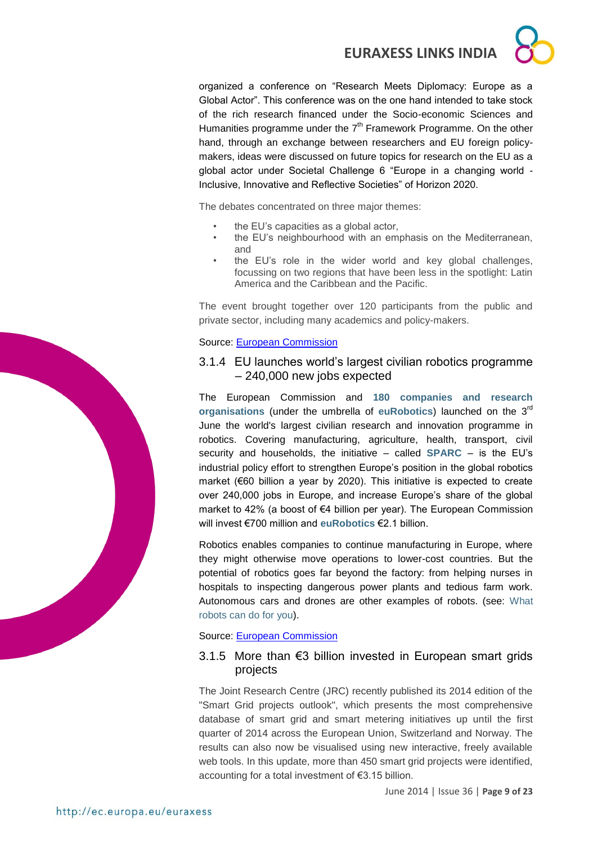organized a conference on "Research Meets Diplomacy: Europe as a Global Actor". This conference was on the one hand intended to take stock of the rich research financed under the Socio-economic Sciences and Humanities programme under the  $7<sup>th</sup>$  Framework Programme. On the other hand, through an exchange between researchers and EU foreign policymakers, ideas were discussed on future topics for research on the EU as a global actor under Societal Challenge 6 "Europe in a changing world - Inclusive, Innovative and Reflective Societies" of Horizon 2020.

The debates concentrated on three major themes:

- the EU's capacities as a global actor,
- the EU's neighbourhood with an emphasis on the Mediterranean, and
- the EU's role in the wider world and key global challenges, focussing on two regions that have been less in the spotlight: Latin America and the Caribbean and the Pacific.

The event brought together over 120 participants from the public and private sector, including many academics and policy-makers.

#### Source: [European Commission](http://ec.europa.eu/research/social-sciences/events_en.cfm?eventcode=8F135BB3-CB93-3568-81A2ED68A6F6B5D6)

#### <span id="page-8-0"></span>3.1.4 EU launches world's largest civilian robotics programme – 240,000 new jobs expected

The European Commission and **[180 companies and research](http://www.eu-robotics.net/membership/list-of-members/)  [organisations](http://www.eu-robotics.net/membership/list-of-members/)** (under the umbrella of **[euRobotics](http://www.eu-robotics.net/)**) launched on the 3rd June the world's largest civilian research and innovation programme in robotics. Covering manufacturing, agriculture, health, transport, civil security and households, the initiative – called **[SPARC](http://sparc-robotics.eu/)** – is the EU's industrial policy effort to strengthen Europe's position in the global robotics market (€60 billion a year by 2020). This initiative is expected to create over 240,000 jobs in Europe, and increase Europe's share of the global market to 42% (a boost of €4 billion per year). The European Commission will invest €700 million and **[euRobotics](http://www.eu-robotics.net/)** €2.1 billion.

Robotics enables companies to continue manufacturing in Europe, where they might otherwise move operations to lower-cost countries. But the potential of robotics goes far beyond the factory: from helping nurses in hospitals to inspecting dangerous power plants and tedious farm work. Autonomous cars and drones are other examples of robots. (see: [What](http://europa.eu/rapid/press-release_MEMO-14-386_en.htm)  [robots can do for you\)](http://europa.eu/rapid/press-release_MEMO-14-386_en.htm).

#### Source: [European Commission](http://europa.eu/rapid/press-release_IP-14-619_en.htm)

#### <span id="page-8-1"></span>3.1.5 More than €3 billion invested in European smart grids projects

The Joint Research Centre (JRC) recently published its 2014 edition of the "Smart Grid projects outlook", which presents the most comprehensive database of smart grid and smart metering initiatives up until the first quarter of 2014 across the European Union, Switzerland and Norway. The results can also now be visualised using new interactive, freely available web tools. In this update, more than 450 smart grid projects were identified, accounting for a total investment of €3.15 billion.

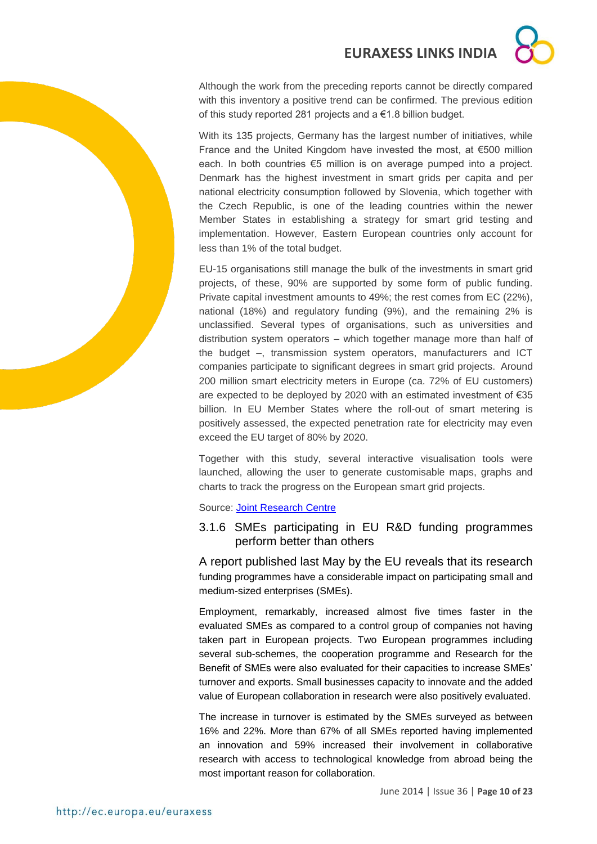Although the work from the preceding reports cannot be directly compared with this inventory a positive trend can be confirmed. The previous edition of this study reported 281 projects and a €1.8 billion budget.

With its 135 projects, Germany has the largest number of initiatives, while France and the United Kingdom have invested the most, at €500 million each. In both countries €5 million is on average pumped into a project. Denmark has the highest investment in smart grids per capita and per national electricity consumption followed by Slovenia, which together with the Czech Republic, is one of the leading countries within the newer Member States in establishing a strategy for smart grid testing and implementation. However, Eastern European countries only account for less than 1% of the total budget.

EU-15 organisations still manage the bulk of the investments in smart grid projects, of these, 90% are supported by some form of public funding. Private capital investment amounts to 49%; the rest comes from EC (22%), national (18%) and regulatory funding (9%), and the remaining 2% is unclassified. Several types of organisations, such as universities and distribution system operators – which together manage more than half of the budget –, transmission system operators, manufacturers and ICT companies participate to significant degrees in smart grid projects. Around 200 million smart electricity meters in Europe (ca. 72% of EU customers) are expected to be deployed by 2020 with an estimated investment of €35 billion. In EU Member States where the roll-out of smart metering is positively assessed, the expected penetration rate for electricity may even exceed the EU target of 80% by 2020.

Together with this study, several interactive visualisation tools were launched, allowing the user to generate customisable maps, graphs and charts to track the progress on the European smart grid projects.

Source: [Joint Research Centre](https://ec.europa.eu/jrc/en/news/more-than-3-billion-euros-invested-european-smart-grids-projects)

<span id="page-9-0"></span>3.1.6 SMEs participating in EU R&D funding programmes perform better than others

A report published last May by the EU reveals that its research funding programmes have a considerable impact on participating small and medium-sized enterprises (SMEs).

Employment, remarkably, increased almost five times faster in the evaluated SMEs as compared to a control group of companies not having taken part in European projects. Two European programmes including several sub-schemes, the cooperation programme and Research for the Benefit of SMEs were also evaluated for their capacities to increase SMEs' turnover and exports. Small businesses capacity to innovate and the added value of European collaboration in research were also positively evaluated.

The increase in turnover is estimated by the SMEs surveyed as between 16% and 22%. More than 67% of all SMEs reported having implemented an innovation and 59% increased their involvement in collaborative research with access to technological knowledge from abroad being the most important reason for collaboration.

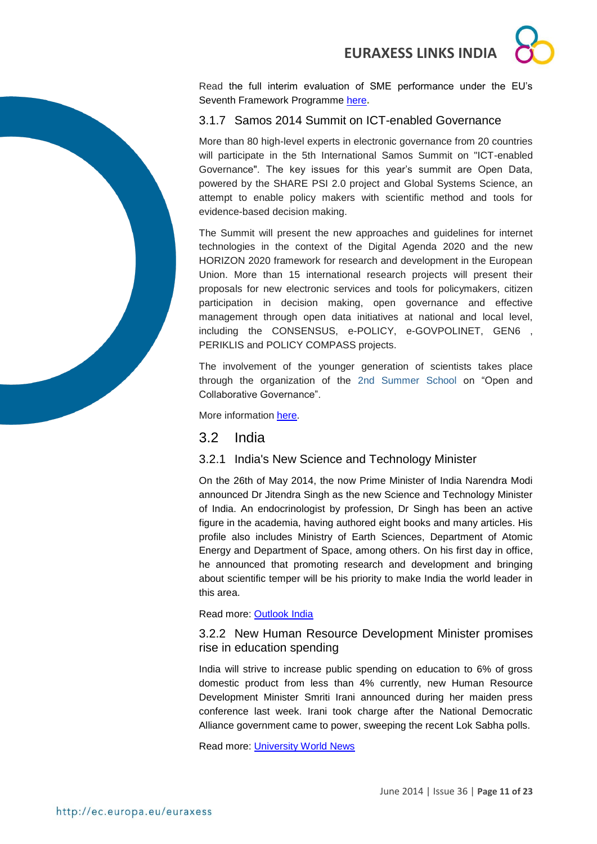Read the full interim evaluation of SME performance under the EU's Seventh Framework Programme [here](http://www.eurekanetwork.org/c/document_library/get_file?uuid=e55da2d8-f78b-4459-893f-2ef081aa5286&groupId=10137)**.**

## <span id="page-10-0"></span>3.1.7 Samos 2014 Summit on ICT-enabled Governance

More than 80 high-level experts in electronic governance from 20 countries will participate in the 5th International Samos Summit on "ICT-enabled Governance". The key issues for this year's summit are Open Data, powered by the SHARE PSI 2.0 project and Global Systems Science, an attempt to enable policy makers with scientific method and tools for evidence-based decision making.

The Summit will present the new approaches and guidelines for internet technologies in the context of the Digital Agenda 2020 and the new HORIZON 2020 framework for research and development in the European Union. More than 15 international research projects will present their proposals for new electronic services and tools for policymakers, citizen participation in decision making, open governance and effective management through open data initiatives at national and local level, including the CONSENSUS, e-POLICY, e-GOVPOLINET, GEN6 , PERIKLIS and POLICY COMPASS projects.

The involvement of the younger generation of scientists takes place through the organization of the [2nd Summer School o](http://egov2014.pns.aegean.gr/)n "Open and Collaborative Governance".

More information [here.](http://www.samos-summit.org/)

#### <span id="page-10-1"></span>3.2 India

#### <span id="page-10-2"></span>3.2.1 India's New Science and Technology Minister

On the 26th of May 2014, the now Prime Minister of India Narendra Modi announced Dr Jitendra Singh as the new Science and Technology Minister of India. An endocrinologist by profession, Dr Singh has been an active figure in the academia, having authored eight books and many articles. His profile also includes Ministry of Earth Sciences, Department of Atomic Energy and Department of Space, among others. On his first day in office, he announced that promoting research and development and bringing about scientific temper will be his priority to make India the world leader in this area.

Read more: [Outlook India](http://www.outlookindia.com/news/article/RD-to-Be-Focus-of-New-Science-and-Technology-Minister/842247)

#### <span id="page-10-3"></span>3.2.2 New Human Resource Development Minister promises rise in education spending

India will strive to increase public spending on education to 6% of gross domestic product from less than 4% currently, new Human Resource Development Minister Smriti Irani announced during her maiden press conference last week. Irani took charge after the National Democratic Alliance government came to power, sweeping the recent Lok Sabha polls.

Read more: [University World News](http://www.universityworldnews.com/article.php?story=20140529122620933)

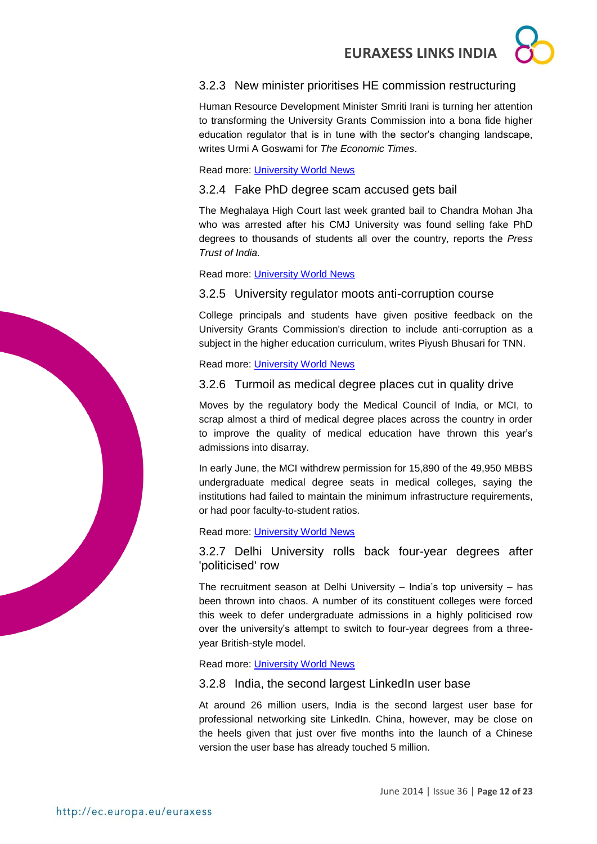## <span id="page-11-0"></span>3.2.3 New minister prioritises HE commission restructuring

Human Resource Development Minister Smriti Irani is turning her attention to transforming the University Grants Commission into a bona fide higher education regulator that is in tune with the sector's changing landscape, writes Urmi A Goswami for *The Economic Times*.

Read more: [University World News](http://www.universityworldnews.com/article.php?story=20140605221717340)

<span id="page-11-1"></span>3.2.4 Fake PhD degree scam accused gets bail

The Meghalaya High Court last week granted bail to Chandra Mohan Jha who was arrested after his CMJ University was found selling fake PhD degrees to thousands of students all over the country, reports the *Press Trust of India.*

Read more: [University World News](http://www.universityworldnews.com/article.php?story=20140605220632610)

## <span id="page-11-2"></span>3.2.5 University regulator moots anti-corruption course

College principals and students have given positive feedback on the University Grants Commission's direction to include anti-corruption as a subject in the higher education curriculum, writes Piyush Bhusari for TNN.

Read more: [University World News](http://www.universityworldnews.com/article.php?story=20140619210417723)

## <span id="page-11-3"></span>3.2.6 Turmoil as medical degree places cut in quality drive

Moves by the regulatory body the Medical Council of India, or MCI, to scrap almost a third of medical degree places across the country in order to improve the quality of medical education have thrown this year's admissions into disarray.

In early June, the MCI withdrew permission for 15,890 of the 49,950 MBBS undergraduate medical degree seats in medical colleges, saying the institutions had failed to maintain the minimum infrastructure requirements, or had poor faculty-to-student ratios.

## Read more: [University World News](http://www.universityworldnews.com/article.php?story=2014062607302685)

<span id="page-11-4"></span>3.2.7 Delhi University rolls back four-year degrees after 'politicised' row

The recruitment season at Delhi University – India's top university – has been thrown into chaos. A number of its constituent colleges were forced this week to defer undergraduate admissions in a highly politicised row over the university's attempt to switch to four-year degrees from a threeyear British-style model.

Read more: [University World News](http://www.universityworldnews.com/article.php?story=20140626134721628)

## <span id="page-11-5"></span>3.2.8 India, the second largest LinkedIn user base

At around 26 million users, India is the second largest user base for professional networking site LinkedIn. China, however, may be close on the heels given that just over five months into the launch of a Chinese version the user base has already touched 5 million.

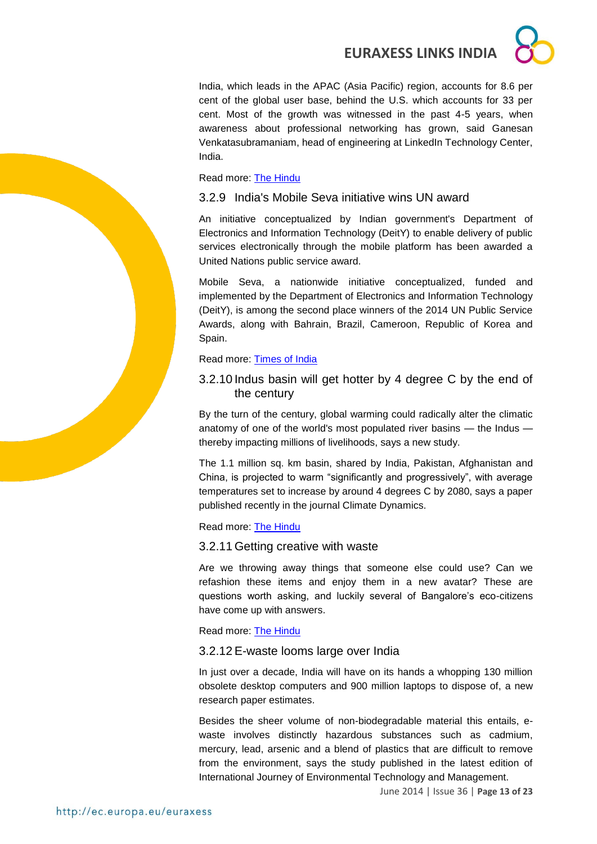India, which leads in the APAC (Asia Pacific) region, accounts for 8.6 per cent of the global user base, behind the U.S. which accounts for 33 per cent. Most of the growth was witnessed in the past 4-5 years, when awareness about professional networking has grown, said Ganesan Venkatasubramaniam, head of engineering at LinkedIn Technology Center, India.

#### Read more: [The Hindu](http://theoldreader.com/feeds/51d1326354cf825e210080dd)

## <span id="page-12-0"></span>3.2.9 India's Mobile Seva initiative wins UN award

An initiative conceptualized by Indian government's Department of Electronics and Information Technology (DeitY) to enable delivery of public services electronically through the mobile platform has been awarded a United Nations public service award.

Mobile Seva, a nationwide initiative conceptualized, funded and implemented by the Department of Electronics and Information Technology (DeitY), is among the second place winners of the 2014 UN Public Service Awards, along with Bahrain, Brazil, Cameroon, Republic of Korea and Spain.

## Read more: [Times of India](http://timesofindia.indiatimes.com/tech/tech-news/Indias-Mobile-Seva-initiative-wins-UN-award/articleshow/37125368.cms)

## <span id="page-12-1"></span>3.2.10 Indus basin will get hotter by 4 degree C by the end of the century

By the turn of the century, global warming could radically alter the climatic anatomy of one of the world's most populated river basins — the Indus thereby impacting millions of livelihoods, says a new study.

The 1.1 million sq. km basin, shared by India, Pakistan, Afghanistan and China, is projected to warm "significantly and progressively", with average temperatures set to increase by around 4 degrees C by 2080, says a paper published recently in the journal Climate Dynamics.

## Read more: [The Hindu](http://www.thehindu.com/sci-tech/energy-and-environment/indus-basin-will-get-hotter-by-4-degree-c-by-the-end-of-the-century/article6127024.ece?utm_source=RSS_Feed&utm_medium=RSS&utm_campaign=RSS_Syndication)

## <span id="page-12-2"></span>3.2.11 Getting creative with waste

Are we throwing away things that someone else could use? Can we refashion these items and enjoy them in a new avatar? These are questions worth asking, and luckily several of Bangalore's eco-citizens have come up with answers.

Read more: [The Hindu](http://www.thehindu.com/features/metroplus/getting-creative-with-waste/article6151742.ece?utm_source=RSS_Feed&utm_medium=RSS&utm_campaign=RSS_Syndication)

## <span id="page-12-3"></span>3.2.12 E-waste looms large over India

In just over a decade, India will have on its hands a whopping 130 million obsolete desktop computers and 900 million laptops to dispose of, a new research paper estimates.

Besides the sheer volume of non-biodegradable material this entails, ewaste involves distinctly hazardous substances such as cadmium, mercury, lead, arsenic and a blend of plastics that are difficult to remove from the environment, says the study published in the latest edition of International Journey of Environmental Technology and Management.

June 2014 | Issue 36 | **Page 13 of 23**

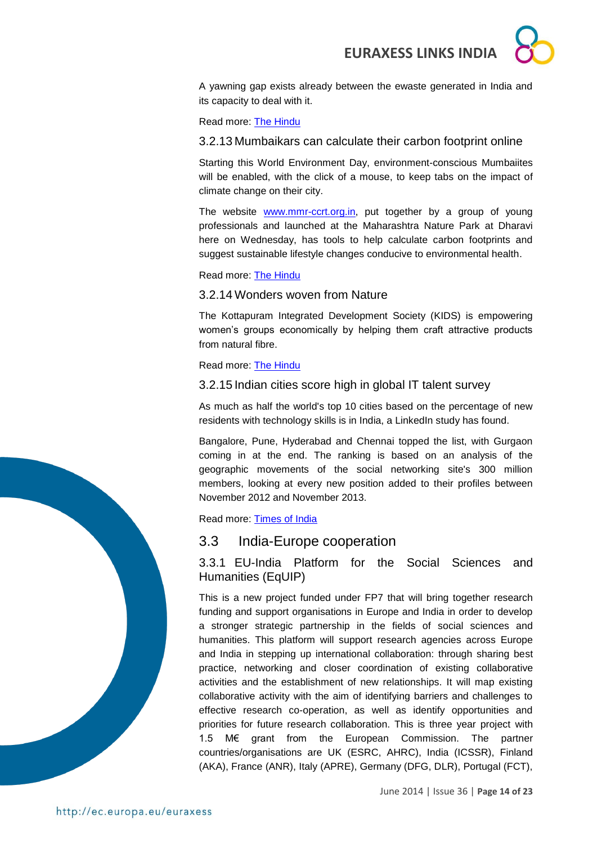

A yawning gap exists already between the ewaste generated in India and its capacity to deal with it.

Read more: **The Hindu** 

<span id="page-13-0"></span>3.2.13 Mumbaikars can calculate their carbon footprint online

Starting this World Environment Day, environment-conscious Mumbaiites will be enabled, with the click of a mouse, to keep tabs on the impact of climate change on their city.

The website **www.mmr-ccrt.org.in**, put together by a group of young professionals and launched at the Maharashtra Nature Park at Dharavi here on Wednesday, has tools to help calculate carbon footprints and suggest sustainable lifestyle changes conducive to environmental health.

Read more: [The Hindu](http://www.thehindu.com/sci-tech/energy-and-environment/now-mumbaikars-can-calculate-their-carbon-footprint-online/article6086394.ece?utm_source=RSS_Feed&utm_medium=RSS&utm_campaign=RSS_Syndication)

<span id="page-13-1"></span>3.2.14 Wonders woven from Nature

The Kottapuram Integrated Development Society (KIDS) is empowering women's groups economically by helping them craft attractive products from natural fibre.

Read more: [The Hindu](http://www.thehindu.com/features/metroplus/society/wonders-woven-from-nature/article6126755.ece?utm_source=RSS_Feed&utm_medium=RSS&utm_campaign=RSS_Syndication)

<span id="page-13-2"></span>3.2.15 Indian cities score high in global IT talent survey

As much as half the world's top 10 cities based on the percentage of new residents with technology skills is in India, a LinkedIn study has found.

Bangalore, Pune, Hyderabad and Chennai topped the list, with Gurgaon coming in at the end. The ranking is based on an analysis of the geographic movements of the social networking site's 300 million members, looking at every new position added to their profiles between November 2012 and November 2013.

Read more: [Times of India](http://timesofindia.indiatimes.com/tech/jobs/5-Indian-cities-score-high-in-global-IT-talent-survey/articleshow/37190952.cms)

#### <span id="page-13-3"></span>3.3 India-Europe cooperation

<span id="page-13-4"></span>3.3.1 EU-India Platform for the Social Sciences and Humanities (EqUIP)

This is a new project funded under FP7 that will bring together research funding and support organisations in Europe and India in order to develop a stronger strategic partnership in the fields of social sciences and humanities. This platform will support research agencies across Europe and India in stepping up international collaboration: through sharing best practice, networking and closer coordination of existing collaborative activities and the establishment of new relationships. It will map existing collaborative activity with the aim of identifying barriers and challenges to effective research co-operation, as well as identify opportunities and priorities for future research collaboration. This is three year project with 1.5 M€ grant from the European Commission. The partner countries/organisations are UK (ESRC, AHRC), India (ICSSR), Finland (AKA), France (ANR), Italy (APRE), Germany (DFG, DLR), Portugal (FCT),

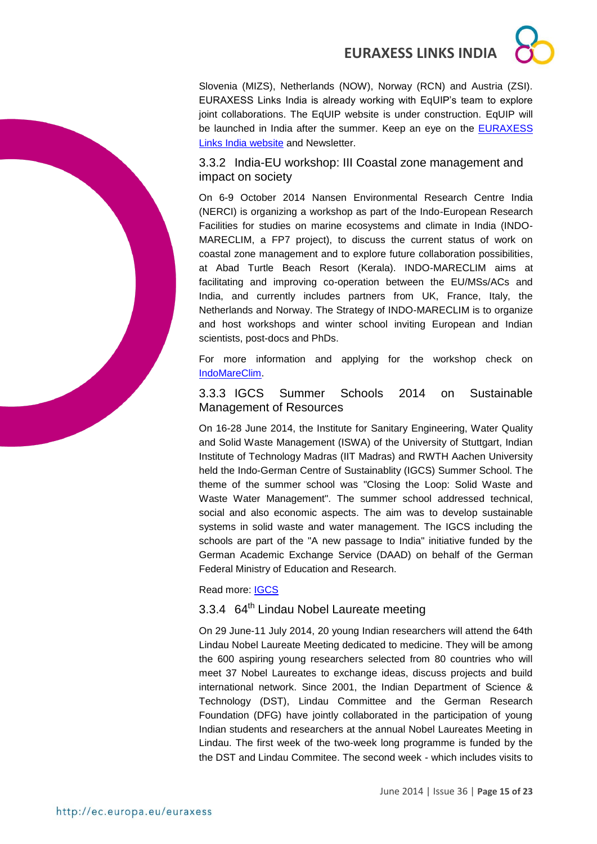Slovenia (MIZS), Netherlands (NOW), Norway (RCN) and Austria (ZSI). EURAXESS Links India is already working with EqUIP's team to explore joint collaborations. The EqUIP website is under construction. EqUIP will be launched in India after the summer. Keep an eye on the EURAXESS [Links India website](http://ec.europa.eu/euraxess/index.cfm/links/eurRes/india) and Newsletter.

<span id="page-14-0"></span>3.3.2 India-EU workshop: III Coastal zone management and impact on society

On 6-9 October 2014 Nansen Environmental Research Centre India (NERCI) is organizing a workshop as part of the Indo-European Research Facilities for studies on marine ecosystems and climate in India (INDO-MARECLIM, a FP7 project), to discuss the current status of work on coastal zone management and to explore future collaboration possibilities, at Abad Turtle Beach Resort (Kerala). INDO-MARECLIM aims at facilitating and improving co-operation between the EU/MSs/ACs and India, and currently includes partners from UK, France, Italy, the Netherlands and Norway. The Strategy of INDO-MARECLIM is to organize and host workshops and winter school inviting European and Indian scientists, post-docs and PhDs.

For more information and applying for the workshop check on [IndoMareClim.](http://www.indomareclim-nerci.in/workshops.php)

### <span id="page-14-1"></span>3.3.3 IGCS Summer Schools 2014 on Sustainable Management of Resources

On 16-28 June 2014, the Institute for Sanitary Engineering, Water Quality and Solid Waste Management (ISWA) of the University of Stuttgart, Indian Institute of Technology Madras (IIT Madras) and RWTH Aachen University held the Indo-German Centre of Sustainablity (IGCS) Summer School. The theme of the summer school was "Closing the Loop: Solid Waste and Waste Water Management". The summer school addressed technical, social and also economic aspects. The aim was to develop sustainable systems in solid waste and water management. The IGCS including the schools are part of the "A new passage to India" initiative funded by the German Academic Exchange Service (DAAD) on behalf of the German Federal Ministry of Education and Research.

Read more: [IGCS](http://www.igcs-chennai.org/?page_id=3007)

## <span id="page-14-2"></span>3.3.4 64<sup>th</sup> Lindau Nobel Laureate meeting

On 29 June-11 July 2014, 20 young Indian researchers will attend the 64th Lindau Nobel Laureate Meeting dedicated to medicine. They will be among the 600 aspiring young researchers selected from 80 countries who will meet 37 Nobel Laureates to exchange ideas, discuss projects and build international network. Since 2001, the Indian Department of Science & Technology (DST), Lindau Committee and the German Research Foundation (DFG) have jointly collaborated in the participation of young Indian students and researchers at the annual Nobel Laureates Meeting in Lindau. The first week of the two-week long programme is funded by the the DST and Lindau Commitee. The second week - which includes visits to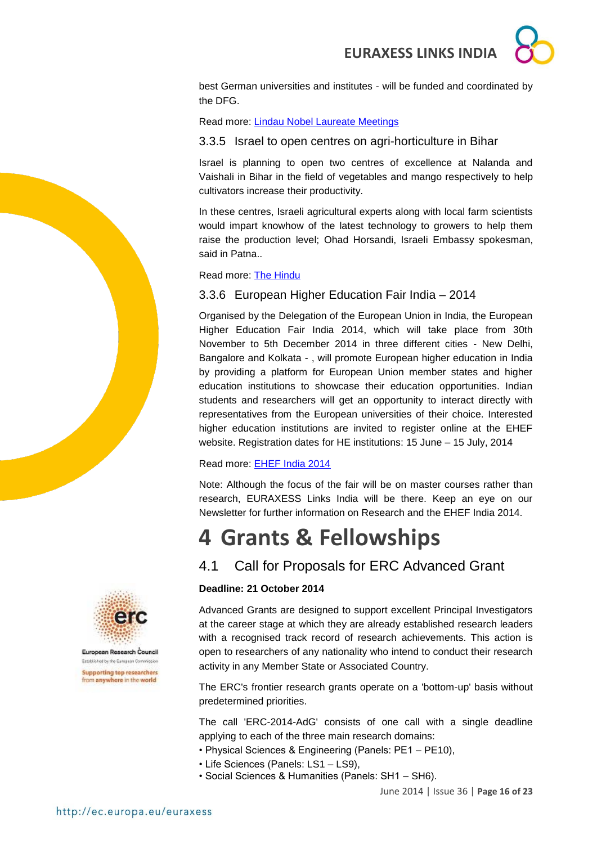

best German universities and institutes - will be funded and coordinated by the DFG.

Read more: [Lindau Nobel Laureate Meetings](http://www.lindau-nobel.org/2014_Lindau_Meeting__Physiology_Medicine.AxCMS)

### <span id="page-15-0"></span>3.3.5 Israel to open centres on agri-horticulture in Bihar

Israel is planning to open two centres of excellence at Nalanda and Vaishali in Bihar in the field of vegetables and mango respectively to help cultivators increase their productivity.

In these centres, Israeli agricultural experts along with local farm scientists would impart knowhow of the latest technology to growers to help them raise the production level; Ohad Horsandi, Israeli Embassy spokesman, said in Patna..

#### Read more: [The Hindu](http://www.thehindu.com/news/national/other-states/israel-to-open-centres-on-agrihorticulture-in-bihar/article6145409.ece?utm_source=RSS_Feed&utm_medium=RSS&utm_campaign=RSS_Syndication)

#### <span id="page-15-1"></span>3.3.6 European Higher Education Fair India – 2014

Organised by the Delegation of the European Union in India, the European Higher Education Fair India 2014, which will take place from 30th November to 5th December 2014 in three different cities - New Delhi, Bangalore and Kolkata - , will promote European higher education in India by providing a platform for European Union member states and higher education institutions to showcase their education opportunities. Indian students and researchers will get an opportunity to interact directly with representatives from the European universities of their choice. Interested higher education institutions are invited to register online at the EHEF website. Registration dates for HE institutions: 15 June – 15 July, 2014

#### Read more: [EHEF India 2014](http://www.ehef-india2014.org/)

Note: Although the focus of the fair will be on master courses rather than research, EURAXESS Links India will be there. Keep an eye on our Newsletter for further information on Research and the EHEF India 2014.

## <span id="page-15-2"></span>**4 Grants & Fellowships**

## <span id="page-15-3"></span>4.1 Call for Proposals for ERC Advanced Grant

#### **Deadline: 21 October 2014**

Advanced Grants are designed to support excellent Principal Investigators at the career stage at which they are already established research leaders with a recognised track record of research achievements. This action is open to researchers of any nationality who intend to conduct their research activity in any Member State or Associated Country.

The ERC's frontier research grants operate on a 'bottom-up' basis without predetermined priorities.

The call 'ERC-2014-AdG' consists of one call with a single deadline applying to each of the three main research domains:

- Physical Sciences & Engineering (Panels: PE1 PE10),
- Life Sciences (Panels: LS1 LS9),
- Social Sciences & Humanities (Panels: SH1 SH6).





European Research Council Established by the European Commission **Supporting top researchers** from anywhere in the world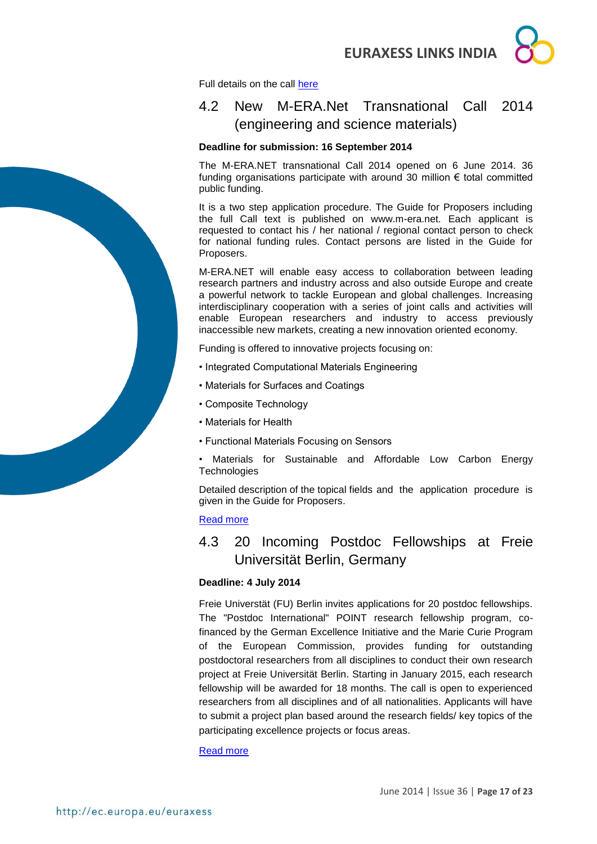

Full details on the call [here](http://ec.europa.eu/research/participants/portal/desktop/en/opportunities/h2020/calls/erc-2014-adg.html)

## <span id="page-16-0"></span>4.2 New M-ERA.Net Transnational Call 2014 (engineering and science materials)

#### **Deadline for submission: 16 September 2014**

The M-ERA.NET transnational Call 2014 opened on 6 June 2014. 36 funding organisations participate with around 30 million € total committed public funding.

It is a two step application procedure. The Guide for Proposers including the full Call text is published on www.m-era.net. Each applicant is requested to contact his / her national / regional contact person to check for national funding rules. Contact persons are listed in the Guide for Proposers.

M-ERA.NET will enable easy access to collaboration between leading research partners and industry across and also outside Europe and create a powerful network to tackle European and global challenges. Increasing interdisciplinary cooperation with a series of joint calls and activities will enable European researchers and industry to access previously inaccessible new markets, creating a new innovation oriented economy.

Funding is offered to innovative projects focusing on:

- Integrated Computational Materials Engineering
- Materials for Surfaces and Coatings
- Composite Technology
- Materials for Health
- Functional Materials Focusing on Sensors
- Materials for Sustainable and Affordable Low Carbon Energy **Technologies**

Detailed description of the topical fields and the application procedure is given in the Guide for Proposers.

#### [Read more](https://www.m-era.net/joint-call-2014)

## <span id="page-16-1"></span>4.3 20 Incoming Postdoc Fellowships at Freie Universität Berlin, Germany

#### **Deadline: 4 July 2014**

Freie Universtät (FU) Berlin invites applications for 20 postdoc fellowships. The "Postdoc International" POINT research fellowship program, cofinanced by the German Excellence Initiative and the Marie Curie Program of the European Commission, provides funding for outstanding postdoctoral researchers from all disciplines to conduct their own research project at Freie Universität Berlin. Starting in January 2015, each research fellowship will be awarded for 18 months. The call is open to experienced researchers from all disciplines and of all nationalities. Applicants will have to submit a project plan based around the research fields/ key topics of the participating excellence projects or focus areas.

#### [Read more](http://www.fu-berlin.de/en/sites/promovieren/drs/drs_fellowships/incoming_fellowships_call2014/index.html)

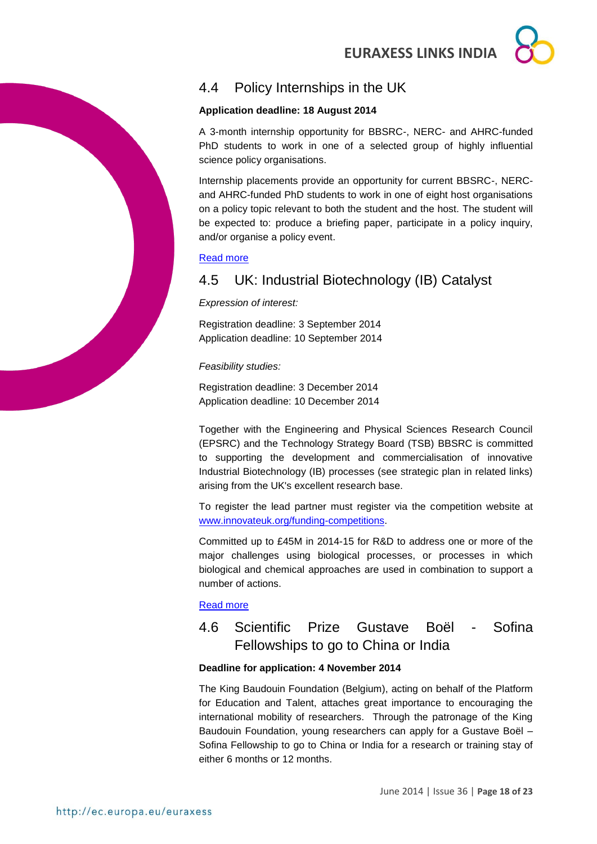

## <span id="page-17-0"></span>4.4 Policy Internships in the UK

#### **Application deadline: 18 August 2014**

A 3-month internship opportunity for BBSRC-, NERC- and AHRC-funded PhD students to work in one of a selected group of highly influential science policy organisations.

Internship placements provide an opportunity for current BBSRC-, NERCand AHRC-funded PhD students to work in one of eight host organisations on a policy topic relevant to both the student and the host. The student will be expected to: produce a briefing paper, participate in a policy inquiry, and/or organise a policy event.

#### [Read more](http://www.bbsrc.ac.uk/business/people-information/policy-internships.aspx?utm_source=feedburner&utm_medium=feed&utm_campaign=Feed%3A+bbsrcfunding+%28BBSRC+-+Funding+opportunities%29)

## <span id="page-17-1"></span>4.5 UK: Industrial Biotechnology (IB) Catalyst

*Expression of interest:*

Registration deadline: 3 September 2014 Application deadline: 10 September 2014

*Feasibility studies:*

Registration deadline: 3 December 2014 Application deadline: 10 December 2014

Together with the Engineering and Physical Sciences Research Council (EPSRC) and the Technology Strategy Board (TSB) BBSRC is committed to supporting the development and commercialisation of innovative Industrial Biotechnology (IB) processes (see strategic plan in related links) arising from the UK's excellent research base.

To register the lead partner must register via the competition website at [www.innovateuk.org/funding-competitions.](www.innovateuk.org/funding-competitions)

Committed up to £45M in 2014-15 for R&D to address one or more of the major challenges using biological processes, or processes in which biological and chemical approaches are used in combination to support a number of actions.

#### [Read more](http://www.bbsrc.ac.uk/business/collaborative-research/tsb-competitions/ib-catalyst.aspx?utm_source=feedburner&utm_medium=feed&utm_campaign=Feed%3A+bbsrcfunding+%28BBSRC+-+Funding+opportunities%29)

## <span id="page-17-2"></span>4.6 Scientific Prize Gustave Boël - Sofina Fellowships to go to China or India

#### **Deadline for application: 4 November 2014**

The King Baudouin Foundation (Belgium), acting on behalf of the Platform for Education and Talent, attaches great importance to encouraging the international mobility of researchers. Through the patronage of the King Baudouin Foundation, young researchers can apply for a Gustave Boël – Sofina Fellowship to go to China or India for a research or training stay of either 6 months or 12 months.

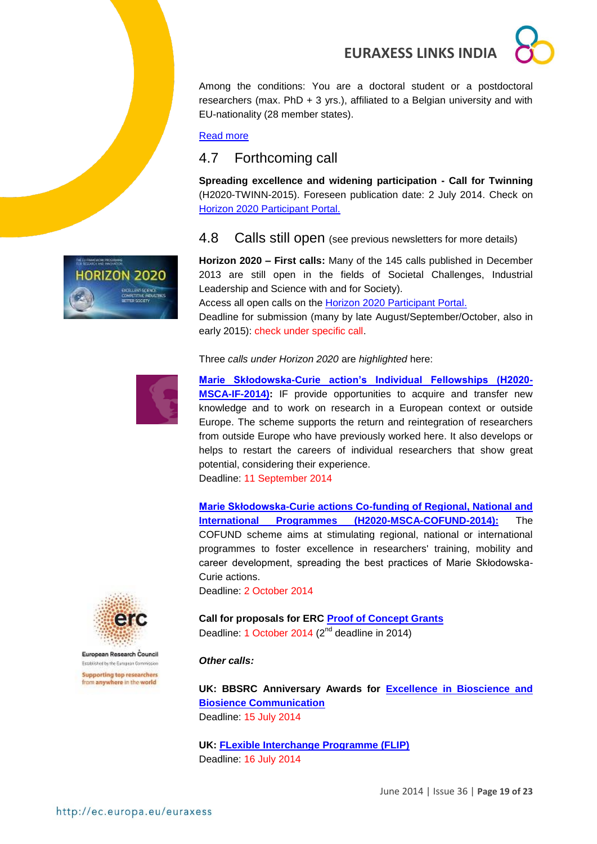Among the conditions: You are a doctoral student or a postdoctoral researchers (max. PhD  $+$  3 yrs.), affiliated to a Belgian university and with EU-nationality (28 member states).

#### [Read more](http://www.fnrs.be/docs/Reglement-et-documents/International/FRS-FNRS_Gustave_Boel_Sofina_Fellowships_Regulations.pdf)

## <span id="page-18-0"></span>4.7 Forthcoming call

**Spreading excellence and widening participation - Call for Twinning**  (H2020-TWINN-2015). Foreseen publication date: 2 July 2014. Check on [Horizon 2020 Participant Portal.](http://ec.europa.eu/research/participants/portal/desktop/en/opportunities/h2020)

#### <span id="page-18-1"></span>4.8 Calls still open (see previous newsletters for more details)

**Horizon 2020 – First calls:** Many of the 145 calls published in December 2013 are still open in the fields of Societal Challenges, Industrial Leadership and Science with and for Society).

Access all open calls on the [Horizon 2020 Participant Portal.](http://ec.europa.eu/research/participants/portal/desktop/en/opportunities/h2020)

Deadline for submission (many by late August/September/October, also in early 2015): check under specific call.

Three *calls under Horizon 2020* are *highlighted* here:



**RIZON 2020** 

**[Marie Skłodowska-Curie action's Individual Fellowships \(H2020-](http://ec.europa.eu/research/participants/portal/desktop/en/opportunities/h2020/calls/h2020-msca-if-2014.html#tab2) [MSCA-IF-2014\):](http://ec.europa.eu/research/participants/portal/desktop/en/opportunities/h2020/calls/h2020-msca-if-2014.html#tab2)** IF provide opportunities to acquire and transfer new knowledge and to work on research in a European context or outside Europe. The scheme supports the return and reintegration of researchers from outside Europe who have previously worked here. It also develops or helps to restart the careers of individual researchers that show great potential, considering their experience.

Deadline: 11 September 2014

**[Marie Skłodowska-Curie actions Co-funding of Regional, National and](http://ec.europa.eu/research/participants/portal/desktop/en/opportunities/h2020/calls/h2020-msca-cofund-2014.html)  [International Programmes \(H2020-MSCA-COFUND-2014\):](http://ec.europa.eu/research/participants/portal/desktop/en/opportunities/h2020/calls/h2020-msca-cofund-2014.html)** The COFUND scheme aims at stimulating regional, national or international programmes to foster excellence in researchers' training, mobility and career development, spreading the best practices of Marie Skłodowska-Curie actions.

Deadline: 2 October 2014

**Call for proposals for ERC [Proof of Concept Grants](http://ec.europa.eu/research/participants/portal/desktop/en/opportunities/h2020/topics/56-erc-poc-2014.html)** Deadline: 1 October 2014 (2<sup>nd</sup> deadline in 2014)

#### *Other calls:*

**UK: BBSRC Anniversary Awards for [Excellence in Bioscience and](http://www.bbsrc.ac.uk/funding/opportunities/2014/anniversary-awards.aspx?utm_source=feedburner&utm_medium=feed&utm_campaign=Feed%3A+bbsrcfunding+%28BBSRC+-+Funding+opportunities%29)  [Biosience Communication](http://www.bbsrc.ac.uk/funding/opportunities/2014/anniversary-awards.aspx?utm_source=feedburner&utm_medium=feed&utm_campaign=Feed%3A+bbsrcfunding+%28BBSRC+-+Funding+opportunities%29)** Deadline: 15 July 2014

**UK: [FLexible Interchange Programme \(FLIP\)](http://www.bbsrc.ac.uk/business/people-information/flexible-interchange-programme.aspx?utm_source=feedburner&utm_medium=feed&utm_campaign=Feed%3A+bbsrcfunding+%28BBSRC+-+Funding+opportunities%29)** Deadline: 16 July 2014



European Research Council Established by the European Co. **Supporting top researchers** from anywhere in the world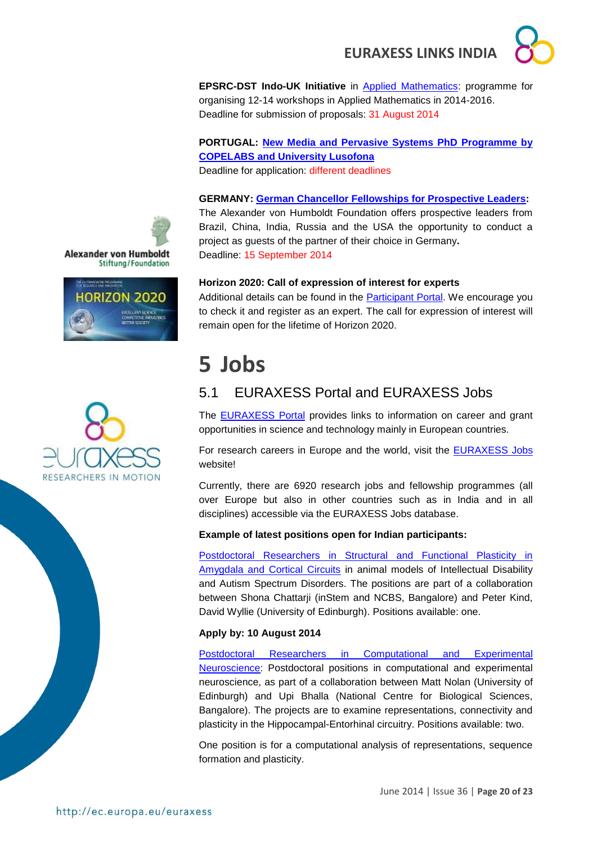

**EPSRC-DST Indo-UK Initiative** in [Applied Mathematics:](http://www.icms.org.uk/proposals/indo-uk_info) programme for organising 12-14 workshops in Applied Mathematics in 2014-2016. Deadline for submission of proposals: 31 August 2014

**PORTUGAL: [New Media and Pervasive Systems PhD Programme by](http://siti.ulusofona.pt/~nemps/index.php?option=com_content&view=article&id=27&Itemid=151&lang=en)  [COPELABS and University Lusofona](http://siti.ulusofona.pt/~nemps/index.php?option=com_content&view=article&id=27&Itemid=151&lang=en)**

Deadline for application: different deadlines

### **GERMANY: [German Chancellor Fellowships for Prospective Leaders:](../../../../../../../../../AppData/Roaming/Microsoft/Word/Alexander%20von%20Humboldt%20Foundation%20website)**

The Alexander von Humboldt Foundation offers prospective leaders from Brazil, China, India, Russia and the USA the opportunity to conduct a project as guests of the partner of their choice in Germany**.** Deadline: 15 September 2014

**Horizon 2020: Call of expression of interest for experts**

Additional details can be found in the [Participant Portal.](http://ec.europa.eu/research/participants/portal/desktop/en/experts/index.html) We encourage you to check it and register as an expert. The call for expression of interest will remain open for the lifetime of Horizon 2020.

# <span id="page-19-0"></span>**5 Jobs**

## <span id="page-19-1"></span>5.1 EURAXESS Portal and EURAXESS Jobs

The [EURAXESS Portal](http://ec.europa.eu/euraxess/index.cfm/general/index) provides links to information on career and grant opportunities in science and technology mainly in European countries.

For research careers in Europe and the world, visit the [EURAXESS Jobs](http://ec.europa.eu/euraxess/index.cfm/jobs/jvSearch) website!

Currently, there are 6920 research jobs and fellowship programmes (all over Europe but also in other countries such as in India and in all disciplines) accessible via the EURAXESS Jobs database.

#### **Example of latest positions open for Indian participants:**

[Postdoctoral Researchers in Structural and Functional Plasticity in](http://ec.europa.eu/euraxess/index.cfm/jobs/jobDetails/33939626)  [Amygdala and Cortical Circuits](http://ec.europa.eu/euraxess/index.cfm/jobs/jobDetails/33939626) in animal models of Intellectual Disability and Autism Spectrum Disorders. The positions are part of a collaboration between Shona Chattarji (inStem and NCBS, Bangalore) and Peter Kind, David Wyllie (University of Edinburgh). Positions available: one.

#### **Apply by: 10 August 2014**

[Postdoctoral Researchers in Computational and Experimental](http://ec.europa.eu/euraxess/index.cfm/jobs/jobDetails/33939627)  [Neuroscience:](http://ec.europa.eu/euraxess/index.cfm/jobs/jobDetails/33939627) Postdoctoral positions in computational and experimental neuroscience, as part of a collaboration between Matt Nolan (University of Edinburgh) and Upi Bhalla (National Centre for Biological Sciences, Bangalore). The projects are to examine representations, connectivity and plasticity in the Hippocampal-Entorhinal circuitry. Positions available: two.

One position is for a computational analysis of representations, sequence formation and plasticity.





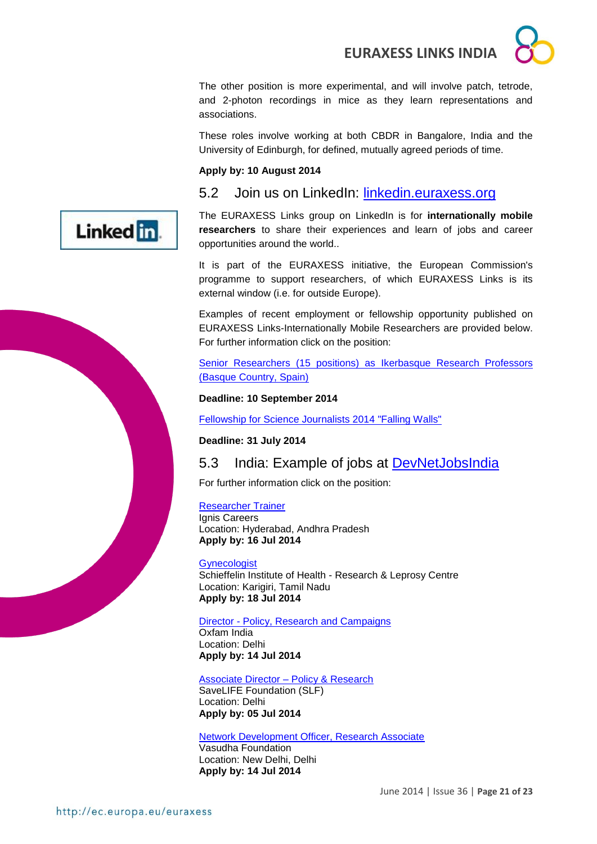The other position is more experimental, and will involve patch, tetrode, and 2-photon recordings in mice as they learn representations and associations.

These roles involve working at both CBDR in Bangalore, India and the University of Edinburgh, for defined, mutually agreed periods of time.

#### **Apply by: 10 August 2014**

<span id="page-20-0"></span>5.2 Join us on LinkedIn: [linkedin.euraxess.org](http://www.linkedin.com/groups/EURAXESS-Links-Internationally-Mobile-Researchers-4990889/about)



The EURAXESS Links group on LinkedIn is for **internationally mobile researchers** to share their experiences and learn of jobs and career opportunities around the world..

It is part of the EURAXESS initiative, the European Commission's programme to support researchers, of which EURAXESS Links is its external window (i.e. for outside Europe).

Examples of recent employment or fellowship opportunity published on EURAXESS Links-Internationally Mobile Researchers are provided below. For further information click on the position:

[Senior Researchers \(15 positions\) as](http://www.ikerbasque.net/) Ikerbasque Research Professors [\(Basque Country, Spain\)](http://www.ikerbasque.net/)

#### **Deadline: 10 September 2014**

[Fellowship for Science Journalists 2014 "Falling Walls"](http://www.falling-walls.com/fellowships/science-journalists)

**Deadline: 31 July 2014**

## <span id="page-20-1"></span>5.3 India: Example of jobs at [DevNetJobsIndia](http://www.devnetjobsindia.org/)

For further information click on the position:

#### [Researcher Trainer](http://www.devnetjobsindia.org/jobdescription.aspx?job_id=34950)

Ignis Careers Location: Hyderabad, Andhra Pradesh **Apply by: 16 Jul 2014**

#### **[Gynecologist](http://www.devnetjobsindia.org/jobdescription.aspx?job_id=35071)**

Schieffelin Institute of Health - Research & Leprosy Centre Location: Karigiri, Tamil Nadu **Apply by: 18 Jul 2014** 

#### Director - [Policy, Research and Campaigns](http://www.devnetjobsindia.org/jobdescription.aspx?job_id=34964)

Oxfam India Location: Delhi **Apply by: 14 Jul 2014** 

#### [Associate Director –](http://www.devnetjobsindia.org/jobdescription.aspx?job_id=34523) Policy & Research

SaveLIFE Foundation (SLF) Location: Delhi **Apply by: 05 Jul 2014** 

#### [Network Development Officer, Research Associate](http://www.devnetjobsindia.org/jobdescription.aspx?job_id=34910)

Vasudha Foundation Location: New Delhi, Delhi **Apply by: 14 Jul 2014**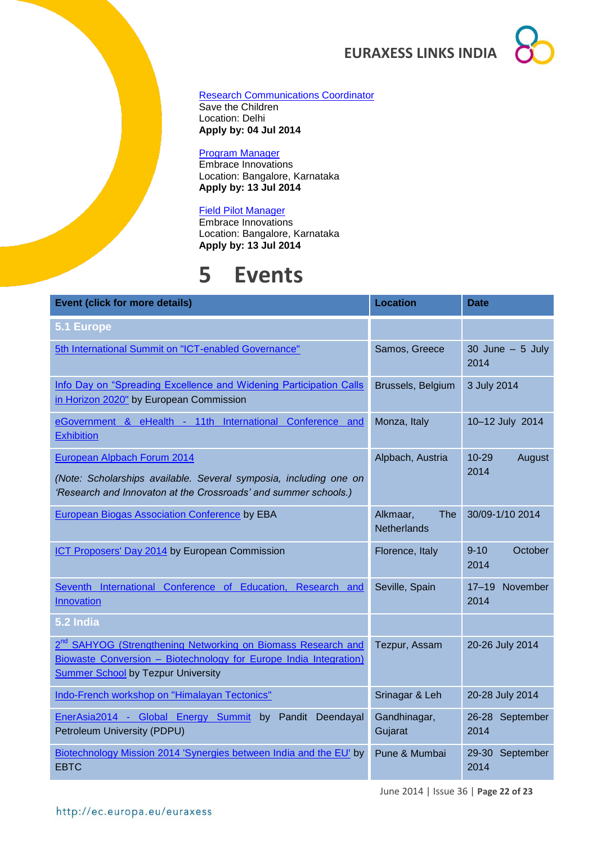#### [Research Communications Coordinator](http://www.devnetjobsindia.org/jobdescription.aspx?job_id=34177)

Save the Children Location: Delhi **Apply by: 04 Jul 2014** 

#### [Program Manager](http://www.devnetjobsindia.org/jobdescription.aspx?job_id=34883)

Embrace Innovations Location: Bangalore, Karnataka **Apply by: 13 Jul 2014** 

#### [Field Pilot Manager](http://www.devnetjobsindia.org/jobdescription.aspx?job_id=34884)

Embrace Innovations Location: Bangalore, Karnataka **Apply by: 13 Jul 2014** 

## <span id="page-21-0"></span>**5 Events**

| <b>Event (click for more details)</b>                                                                                                                                                      | <b>Location</b>                              | <b>Date</b>                   |
|--------------------------------------------------------------------------------------------------------------------------------------------------------------------------------------------|----------------------------------------------|-------------------------------|
| 5.1 Europe                                                                                                                                                                                 |                                              |                               |
| 5th International Summit on "ICT-enabled Governance"                                                                                                                                       | Samos, Greece                                | 30 June $-5$ July<br>2014     |
| Info Day on "Spreading Excellence and Widening Participation Calls                                                                                                                         | Brussels, Belgium                            | 3 July 2014                   |
| in Horizon 2020" by European Commission                                                                                                                                                    |                                              |                               |
| eGovernment & eHealth - 11th International Conference and<br><b>Exhibition</b>                                                                                                             | Monza, Italy                                 | 10-12 July 2014               |
| European Alpbach Forum 2014                                                                                                                                                                | Alpbach, Austria                             | $10 - 29$<br>August           |
| (Note: Scholarships available. Several symposia, including one on<br>'Research and Innovaton at the Crossroads' and summer schools.)                                                       |                                              | 2014                          |
| <b>European Biogas Association Conference by EBA</b>                                                                                                                                       | Alkmaar,<br><b>The</b><br><b>Netherlands</b> | 30/09-1/10 2014               |
| ICT Proposers' Day 2014 by European Commission                                                                                                                                             | Florence, Italy                              | $9 - 10$<br>October<br>2014   |
| Seventh International Conference of Education, Research and<br><b>Innovation</b>                                                                                                           | Seville, Spain                               | November<br>$17 - 19$<br>2014 |
| 5.2 India                                                                                                                                                                                  |                                              |                               |
| 2 <sup>nd</sup> SAHYOG (Strengthening Networking on Biomass Research and<br>Biowaste Conversion - Biotechnology for Europe India Integration)<br><b>Summer School by Tezpur University</b> | Tezpur, Assam                                | 20-26 July 2014               |
| Indo-French workshop on "Himalayan Tectonics"                                                                                                                                              | Srinagar & Leh                               | 20-28 July 2014               |
| EnerAsia2014 - Global Energy Summit by Pandit Deendayal<br>Petroleum University (PDPU)                                                                                                     | Gandhinagar,<br>Gujarat                      | 26-28 September<br>2014       |
| Biotechnology Mission 2014 'Synergies between India and the EU' by<br><b>EBTC</b>                                                                                                          | Pune & Mumbai                                | 29-30<br>September<br>2014    |